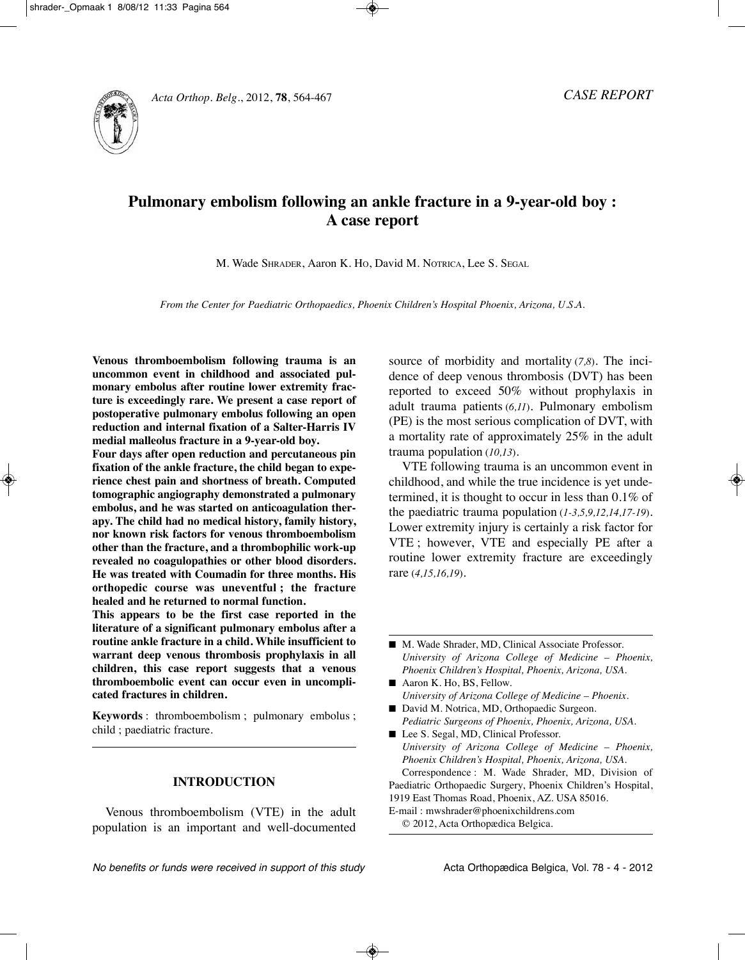# **Pulmonary embolism following an ankle fracture in a 9-year-old boy : A case report**

M. Wade SHRADER, Aaron K. Ho, David M. NOTRICA, Lee S. SEGAL

*From the Center for Paediatric Orthopaedics, Phoenix Children's Hospital Phoenix, Arizona, U.S.A.*

**Venous thromboembolism following trauma is an uncommon event in childhood and associated pulmonary embolus after routine lower extremity fracture is exceedingly rare. We present a case report of postoperative pulmonary embolus following an open reduction and internal fixation of a Salter-Harris IV medial malleolus fracture in a 9-year-old boy.**

**Four days after open reduction and percutaneous pin fixation of the ankle fracture, the child began to experience chest pain and shortness of breath. Computed tomographic angiography demonstrated a pulmonary embolus, and he was started on anticoagulation therapy. The child had no medical history, family history, nor known risk factors for venous thromboembolism other than the fracture, and a thrombophilic work-up revealed no coagulopathies or other blood disorders. He was treated with Coumadin for three months. His orthopedic course was uneventful ; the fracture healed and he returned to normal function.**

**This appears to be the first case reported in the literature of a significant pulmonary embolus after a routine ankle fracture in a child. While insufficient to warrant deep venous thrombosis prophylaxis in all children, this case report suggests that a venous thromboembolic event can occur even in uncomplicated fractures in children.**

**Keywords** : thromboembolism ; pulmonary embolus ; child ; paediatric fracture.

## **INTRODUCTION**

Venous thromboembolism (VTE) in the adult population is an important and well-documented source of morbidity and mortality (*7,8*). The incidence of deep venous thrombosis (DVT) has been reported to exceed 50% without prophylaxis in adult trauma patients (*6,11*). Pulmonary embolism (PE) is the most serious complication of DVT, with a mortality rate of approximately 25% in the adult trauma population (*10,13*).

VTE following trauma is an uncommon event in childhood, and while the true incidence is yet undetermined, it is thought to occur in less than 0.1% of the paediatric trauma population (*1-3,5,9,12,14,17-19*). Lower extremity injury is certainly a risk factor for VTE ; however, VTE and especially PE after a routine lower extremity fracture are exceedingly rare (*4,15,16,19*).

- Aaron K. Ho, BS, Fellow. *University of Arizona College of Medicine – Phoenix.*
- David M. Notrica, MD, Orthopaedic Surgeon. *Pediatric Surgeons of Phoenix, Phoenix, Arizona, USA.*

■ Lee S. Segal, MD, Clinical Professor. *University of Arizona College of Medicine – Phoenix, Phoenix Children's Hospital, Phoenix, Arizona, USA*. Correspondence : M. Wade Shrader, MD, Division of Paediatric Orthopaedic Surgery, Phoenix Children's Hospital, 1919 East Thomas Road, Phoenix, AZ. USA 85016. E-mail : mwshrader@phoenixchildrens.com

© 2012, Acta Orthopædica Belgica.

<sup>■</sup> M. Wade Shrader, MD, Clinical Associate Professor. *University of Arizona College of Medicine – Phoenix, Phoenix Children's Hospital, Phoenix, Arizona, USA.*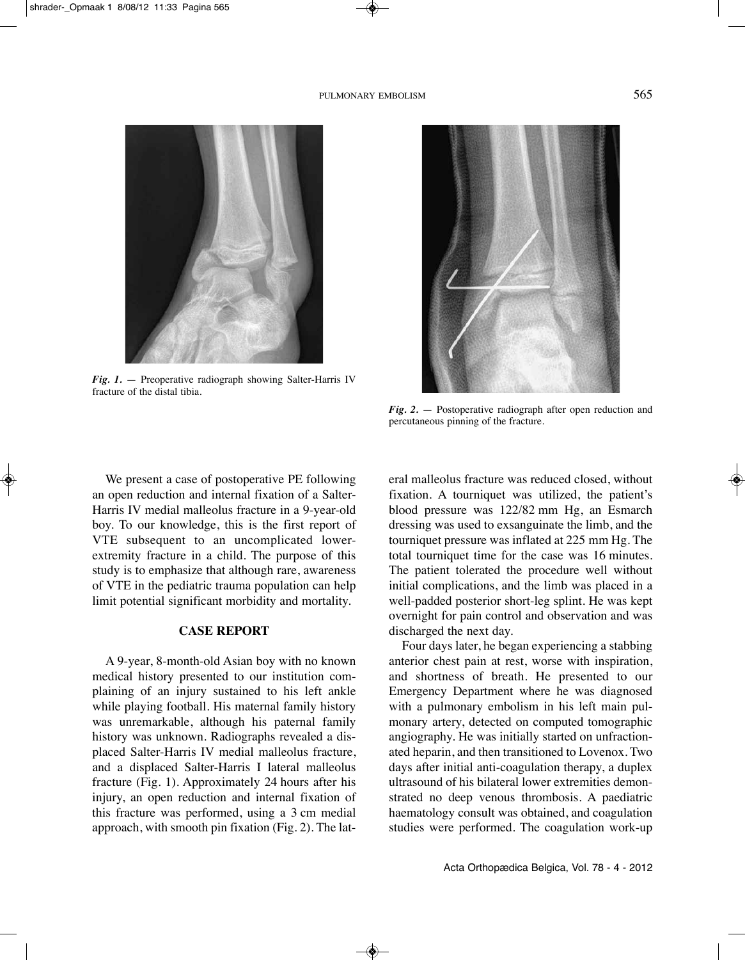

*Fig.* 1. — Preoperative radiograph showing Salter-Harris IV fracture of the distal tibia.



*Fig. 2.* — Postoperative radiograph after open reduction and percutaneous pinning of the fracture.

We present a case of postoperative PE following an open reduction and internal fixation of a Salter-Harris IV medial malleolus fracture in a 9-year-old boy. To our knowledge, this is the first report of VTE subsequent to an uncomplicated lowerextremity fracture in a child. The purpose of this study is to emphasize that although rare, awareness of VTE in the pediatric trauma population can help limit potential significant morbidity and mortality.

## **CASE REPORT**

A 9-year, 8-month-old Asian boy with no known medical history presented to our institution complaining of an injury sustained to his left ankle while playing football. His maternal family history was unremarkable, although his paternal family history was unknown. Radiographs revealed a displaced Salter-Harris iV medial malleolus fracture, and a displaced Salter-Harris I lateral malleolus fracture (Fig. 1). Approximately 24 hours after his injury, an open reduction and internal fixation of this fracture was performed, using a 3 cm medial approach, with smooth pin fixation (Fig. 2). The lateral malleolus fracture was reduced closed, without fixation. A tourniquet was utilized, the patient's blood pressure was 122/82 mm Hg, an Esmarch dressing was used to exsanguinate the limb, and the tourniquet pressure was inflated at 225 mm Hg. The total tourniquet time for the case was 16 minutes. The patient tolerated the procedure well without initial complications, and the limb was placed in a well-padded posterior short-leg splint. He was kept overnight for pain control and observation and was discharged the next day.

Four days later, he began experiencing a stabbing anterior chest pain at rest, worse with inspiration, and shortness of breath. He presented to our Emergency Department where he was diagnosed with a pulmonary embolism in his left main pulmonary artery, detected on computed tomographic angiography. He was initially started on unfractionated heparin, and then transitioned to Lovenox. Two days after initial anti-coagulation therapy, a duplex ultrasound of his bilateral lower extremities demonstrated no deep venous thrombosis. A paediatric haematology consult was obtained, and coagulation studies were performed. The coagulation work-up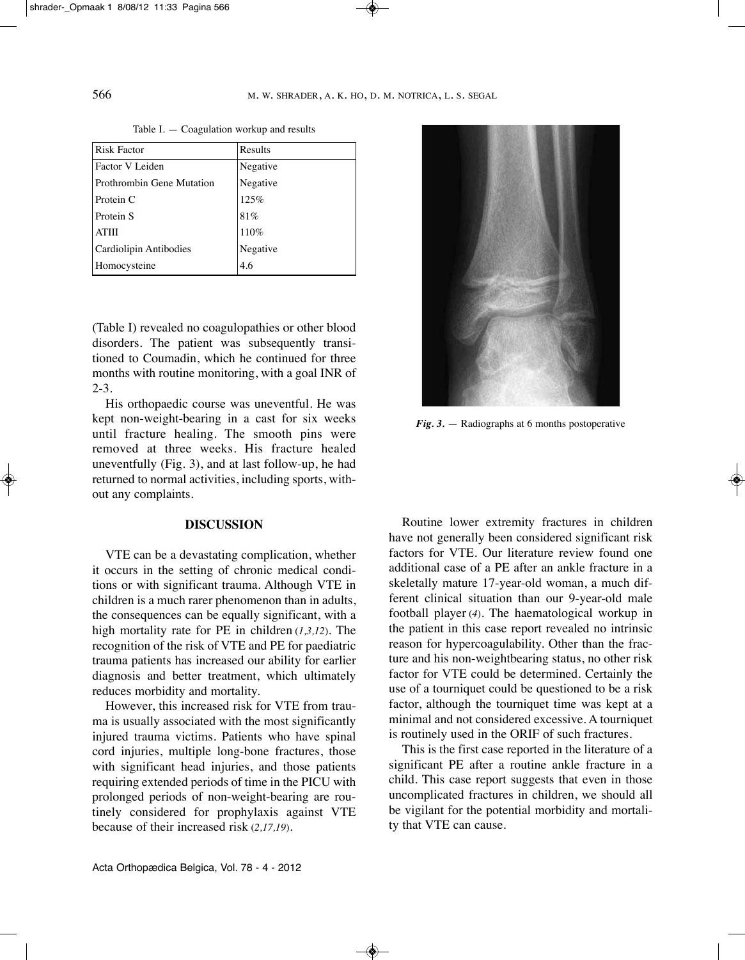| Risk Factor               | Results  |
|---------------------------|----------|
| Factor V Leiden           | Negative |
| Prothrombin Gene Mutation | Negative |
| Protein C                 | 125%     |
| Protein S                 | 81%      |
| <b>ATIII</b>              | 110%     |
| Cardiolipin Antibodies    | Negative |
| Homocysteine              | 4.6      |

Table  $I. - Coagulation workup and results$ 

(Table I) revealed no coagulopathies or other blood disorders. The patient was subsequently transitioned to Coumadin, which he continued for three months with routine monitoring, with a goal iNR of 2-3.

His orthopaedic course was uneventful. He was kept non-weight-bearing in a cast for six weeks until fracture healing. The smooth pins were removed at three weeks. His fracture healed uneventfully (Fig. 3), and at last follow-up, he had returned to normal activities, including sports, without any complaints.

### **DISCUSSION**

VTE can be a devastating complication, whether it occurs in the setting of chronic medical conditions or with significant trauma. Although VTE in children is a much rarer phenomenon than in adults, the consequences can be equally significant, with a high mortality rate for PE in children (*1,3,12*). The recognition of the risk of VTE and PE for paediatric trauma patients has increased our ability for earlier diagnosis and better treatment, which ultimately reduces morbidity and mortality.

However, this increased risk for VTE from trauma is usually associated with the most significantly injured trauma victims. Patients who have spinal cord injuries, multiple long-bone fractures, those with significant head injuries, and those patients requiring extended periods of time in the PiCU with prolonged periods of non-weight-bearing are routinely considered for prophylaxis against VTE because of their increased risk (*2,17,19*).



*Fig. 3.* — Radiographs at 6 months postoperative

Routine lower extremity fractures in children have not generally been considered significant risk factors for VTE. Our literature review found one additional case of a PE after an ankle fracture in a skeletally mature 17-year-old woman, a much different clinical situation than our 9-year-old male football player (*4*). The haematological workup in the patient in this case report revealed no intrinsic reason for hypercoagulability. Other than the fracture and his non-weightbearing status, no other risk factor for VTE could be determined. Certainly the use of a tourniquet could be questioned to be a risk factor, although the tourniquet time was kept at a minimal and not considered excessive. A tourniquet is routinely used in the ORiF of such fractures.

This is the first case reported in the literature of a significant PE after a routine ankle fracture in a child. This case report suggests that even in those uncomplicated fractures in children, we should all be vigilant for the potential morbidity and mortality that VTE can cause.